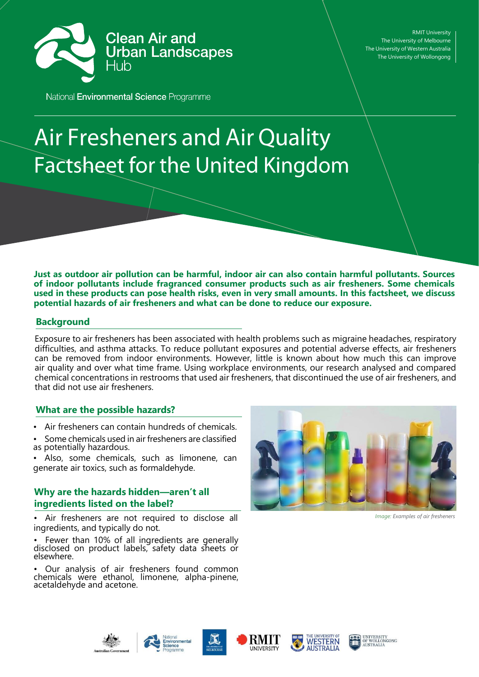

RMIT University The University of Melbourne The University of Western Australia The University of Wollongong

National Environmental Science Programme

# **Air Fresheners and Air Quality Factsheet for the United Kingdom**

**Just as outdoor air pollution can be harmful, indoor air can also contain harmful pollutants. Sources of indoor pollutants include fragranced consumer products such as air fresheners. Some chemicals**  used in these products can pose health risks, even in very small amounts. In this factsheet, we discuss **potential hazards of air fresheners and what can be done to reduce our exposure.**

## **Background**

Exposure to air fresheners has been associated with health problems such as migraine headaches, respiratory difficulties, and asthma attacks. To reduce pollutant exposures and potential adverse effects, air fresheners can be removed from indoor environments. However, little is known about how much this can improve air quality and over what time frame. Using workplace environments, our research analysed and compared chemical concentrations in restrooms that used air fresheners, that discontinued the use of air fresheners, and that did not use air fresheners.

## **What are the possible hazards?**

- Air fresheners can contain hundreds of chemicals.
- Some chemicals used in air fresheners are classified as potentially hazardous.
- Also, some chemicals, such as limonene, can generate air toxics, such as formaldehyde.

# **Why are the hazards hidden—aren't all ingredients listed on the label?**

• Air fresheners are not required to disclose all ingredients, and typically do not.

Fewer than 10% of all ingredients are generally disclosed on product labels, safety data sheets or elsewhere.

• Our analysis of air fresheners found common chemicals were ethanol, limonene, alpha-pinene, acetaldehyde and acetone.



*Image: Examples of air fresheners*